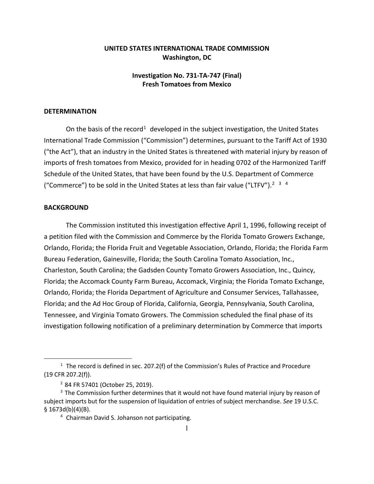## **UNITED STATES INTERNATIONAL TRADE COMMISSION Washington, DC**

## **Investigation No. 731-TA-747 (Final) Fresh Tomatoes from Mexico**

## **DETERMINATION**

On the basis of the record<sup>[1](#page-0-0)</sup> developed in the subject investigation, the United States International Trade Commission ("Commission") determines, pursuant to the Tariff Act of 1930 ("the Act"), that an industry in the United States is threatened with material injury by reason of imports of fresh tomatoes from Mexico, provided for in heading 0702 of the Harmonized Tariff Schedule of the United States, that have been found by the U.S. Department of Commerce ("Commerce") to be sold in the United States at less than fair value ("LTFV").<sup>[2](#page-0-1) [3](#page-0-2)</sup> <sup>[4](#page-0-3)</sup>

## **BACKGROUND**

 $\overline{a}$ 

The Commission instituted this investigation effective April 1, 1996, following receipt of a petition filed with the Commission and Commerce by the Florida Tomato Growers Exchange, Orlando, Florida; the Florida Fruit and Vegetable Association, Orlando, Florida; the Florida Farm Bureau Federation, Gainesville, Florida; the South Carolina Tomato Association, Inc., Charleston, South Carolina; the Gadsden County Tomato Growers Association, Inc., Quincy, Florida; the Accomack County Farm Bureau, Accomack, Virginia; the Florida Tomato Exchange, Orlando, Florida; the Florida Department of Agriculture and Consumer Services, Tallahassee, Florida; and the Ad Hoc Group of Florida, California, Georgia, Pennsylvania, South Carolina, Tennessee, and Virginia Tomato Growers. The Commission scheduled the final phase of its investigation following notification of a preliminary determination by Commerce that imports

<span id="page-0-0"></span> $1$  The record is defined in sec. 207.2(f) of the Commission's Rules of Practice and Procedure (19 CFR 207.2(f)).

<sup>2</sup> 84 FR 57401 (October 25, 2019).

<span id="page-0-3"></span><span id="page-0-2"></span><span id="page-0-1"></span><sup>&</sup>lt;sup>3</sup> The Commission further determines that it would not have found material injury by reason of subject imports but for the suspension of liquidation of entries of subject merchandise. *See* 19 U.S.C. § 1673d(b)(4)(B).

<sup>4</sup> Chairman David S. Johanson not participating.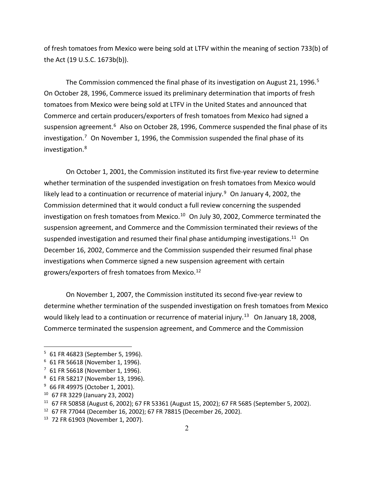of fresh tomatoes from Mexico were being sold at LTFV within the meaning of section 733(b) of the Act (19 U.S.C. 1673b(b)).

The Commission commenced the final phase of its investigation on August 21, 1996.<sup>[5](#page-1-0)</sup> On October 28, 1996, Commerce issued its preliminary determination that imports of fresh tomatoes from Mexico were being sold at LTFV in the United States and announced that Commerce and certain producers/exporters of fresh tomatoes from Mexico had signed a suspension agreement.<sup>[6](#page-1-1)</sup> Also on October 28, 1996, Commerce suspended the final phase of its investigation.<sup>[7](#page-1-2)</sup> On November 1, 1996, the Commission suspended the final phase of its investigation.[8](#page-1-3)

On October 1, 2001, the Commission instituted its first five-year review to determine whether termination of the suspended investigation on fresh tomatoes from Mexico would likely lead to a continuation or recurrence of material injury.<sup>[9](#page-1-4)</sup> On January 4, 2002, the Commission determined that it would conduct a full review concerning the suspended investigation on fresh tomatoes from Mexico.<sup>[10](#page-1-5)</sup> On July 30, 2002, Commerce terminated the suspension agreement, and Commerce and the Commission terminated their reviews of the suspended investigation and resumed their final phase antidumping investigations.<sup>[11](#page-1-6)</sup> On December 16, 2002, Commerce and the Commission suspended their resumed final phase investigations when Commerce signed a new suspension agreement with certain growers/exporters of fresh tomatoes from Mexico.[12](#page-1-7)

On November 1, 2007, the Commission instituted its second five-year review to determine whether termination of the suspended investigation on fresh tomatoes from Mexico would likely lead to a continuation or recurrence of material injury.<sup>[13](#page-1-8)</sup> On January 18, 2008, Commerce terminated the suspension agreement, and Commerce and the Commission

 $\overline{a}$ 

<span id="page-1-0"></span><sup>5</sup> 61 FR 46823 (September 5, 1996).

<span id="page-1-1"></span><sup>6</sup> 61 FR 56618 (November 1, 1996).

<span id="page-1-2"></span><sup>7</sup> 61 FR 56618 (November 1, 1996).

<span id="page-1-3"></span><sup>8</sup> 61 FR 58217 (November 13, 1996).

<span id="page-1-4"></span><sup>9</sup> 66 FR 49975 (October 1, 2001).

<span id="page-1-5"></span><sup>10</sup> 67 FR 3229 (January 23, 2002)

<span id="page-1-6"></span><sup>&</sup>lt;sup>11</sup> 67 FR 50858 (August 6, 2002); 67 FR 53361 (August 15, 2002); 67 FR 5685 (September 5, 2002).<br><sup>12</sup> 67 FR 77044 (December 16, 2002); 67 FR 78815 (December 26, 2002).

<span id="page-1-7"></span>

<span id="page-1-8"></span><sup>13</sup> 72 FR 61903 (November 1, 2007).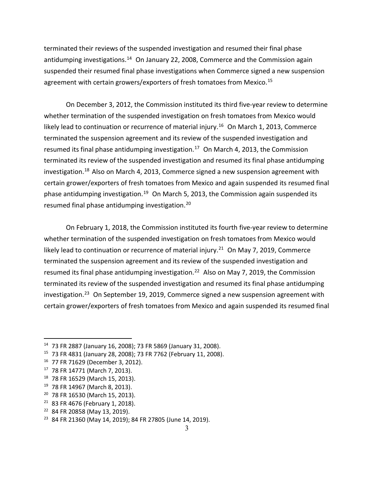terminated their reviews of the suspended investigation and resumed their final phase antidumping investigations.<sup>[14](#page-2-0)</sup> On January 22, 2008, Commerce and the Commission again suspended their resumed final phase investigations when Commerce signed a new suspension agreement with certain growers/exporters of fresh tomatoes from Mexico.<sup>[15](#page-2-1)</sup>

On December 3, 2012, the Commission instituted its third five-year review to determine whether termination of the suspended investigation on fresh tomatoes from Mexico would likely lead to continuation or recurrence of material injury.<sup>[16](#page-2-2)</sup> On March 1, 2013, Commerce terminated the suspension agreement and its review of the suspended investigation and resumed its final phase antidumping investigation.<sup>[17](#page-2-3)</sup> On March 4, 2013, the Commission terminated its review of the suspended investigation and resumed its final phase antidumping investigation.[18](#page-2-4) Also on March 4, 2013, Commerce signed a new suspension agreement with certain grower/exporters of fresh tomatoes from Mexico and again suspended its resumed final phase antidumping investigation.<sup>[19](#page-2-5)</sup> On March 5, 2013, the Commission again suspended its resumed final phase antidumping investigation.<sup>[20](#page-2-6)</sup>

On February 1, 2018, the Commission instituted its fourth five-year review to determine whether termination of the suspended investigation on fresh tomatoes from Mexico would likely lead to continuation or recurrence of material injury.<sup>[21](#page-2-7)</sup> On May 7, 2019, Commerce terminated the suspension agreement and its review of the suspended investigation and resumed its final phase antidumping investigation.<sup>[22](#page-2-8)</sup> Also on May 7, 2019, the Commission terminated its review of the suspended investigation and resumed its final phase antidumping investigation.<sup>[23](#page-2-9)</sup> On September 19, 2019, Commerce signed a new suspension agreement with certain grower/exporters of fresh tomatoes from Mexico and again suspended its resumed final

 $\overline{a}$ 

- <span id="page-2-6"></span><sup>20</sup> 78 FR 16530 (March 15, 2013).
- <span id="page-2-7"></span><sup>21</sup> 83 FR 4676 (February 1, 2018).<br><sup>22</sup> 84 FR 20858 (May 13, 2019).
- <span id="page-2-8"></span>

<span id="page-2-0"></span><sup>14</sup> [73 FR 2887](https://www.federalregister.gov/citation/73-FR-2887) (January 16, 2008); 73 FR 5869 (January 31, 2008).

<span id="page-2-1"></span><sup>15</sup> 73 FR 4831 (January 28, 2008); 73 FR 7762 (February 11, 2008).

<span id="page-2-3"></span><span id="page-2-2"></span><sup>&</sup>lt;sup>16</sup> 77 FR 71629 (December 3, 2012).<br><sup>17</sup> 78 FR 14771 (March 7, 2013).

<span id="page-2-4"></span><sup>18</sup> 78 FR 16529 (March 15, 2013).

<span id="page-2-5"></span><sup>19</sup> 78 FR 14967 (March 8, 2013).

<span id="page-2-9"></span><sup>23</sup> 84 FR 21360 (May 14, 2019); 84 FR 27805 (June 14, 2019).